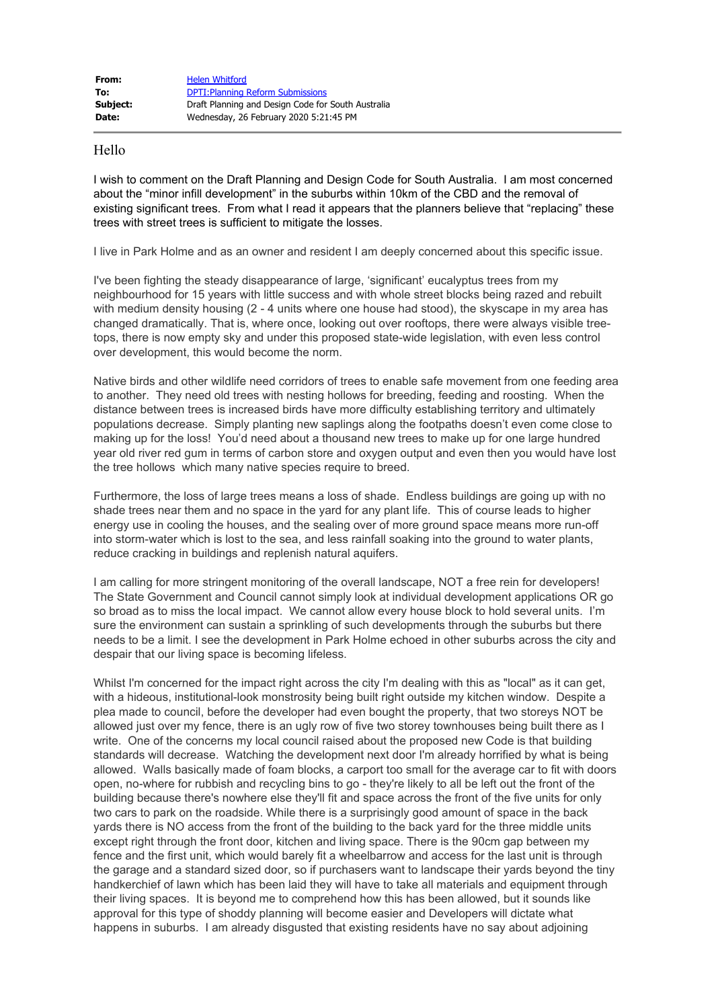## Hello

I wish to comment on the Draft Planning and Design Code for South Australia. I am most concerned about the "minor infill development" in the suburbs within 10km of the CBD and the removal of existing significant trees. From what I read it appears that the planners believe that "replacing" these trees with street trees is sufficient to mitigate the losses.

I live in Park Holme and as an owner and resident I am deeply concerned about this specific issue.

I've been fighting the steady disappearance of large, 'significant' eucalyptus trees from my neighbourhood for 15 years with little success and with whole street blocks being razed and rebuilt with medium density housing (2 - 4 units where one house had stood), the skyscape in my area has changed dramatically. That is, where once, looking out over rooftops, there were always visible treetops, there is now empty sky and under this proposed state-wide legislation, with even less control over development, this would become the norm.

Native birds and other wildlife need corridors of trees to enable safe movement from one feeding area to another. They need old trees with nesting hollows for breeding, feeding and roosting. When the distance between trees is increased birds have more difficulty establishing territory and ultimately populations decrease. Simply planting new saplings along the footpaths doesn't even come close to making up for the loss! You'd need about a thousand new trees to make up for one large hundred year old river red gum in terms of carbon store and oxygen output and even then you would have lost the tree hollows which many native species require to breed.

Furthermore, the loss of large trees means a loss of shade. Endless buildings are going up with no shade trees near them and no space in the yard for any plant life. This of course leads to higher energy use in cooling the houses, and the sealing over of more ground space means more run-off into storm-water which is lost to the sea, and less rainfall soaking into the ground to water plants, reduce cracking in buildings and replenish natural aquifers.

I am calling for more stringent monitoring of the overall landscape, NOT a free rein for developers! The State Government and Council cannot simply look at individual development applications OR go so broad as to miss the local impact. We cannot allow every house block to hold several units. I'm sure the environment can sustain a sprinkling of such developments through the suburbs but there needs to be a limit. I see the development in Park Holme echoed in other suburbs across the city and despair that our living space is becoming lifeless.

Whilst I'm concerned for the impact right across the city I'm dealing with this as "local" as it can get, with a hideous, institutional-look monstrosity being built right outside my kitchen window. Despite a plea made to council, before the developer had even bought the property, that two storeys NOT be allowed just over my fence, there is an ugly row of five two storey townhouses being built there as I write. One of the concerns my local council raised about the proposed new Code is that building standards will decrease. Watching the development next door I'm already horrified by what is being allowed. Walls basically made of foam blocks, a carport too small for the average car to fit with doors open, no-where for rubbish and recycling bins to go - they're likely to all be left out the front of the building because there's nowhere else they'll fit and space across the front of the five units for only two cars to park on the roadside. While there is a surprisingly good amount of space in the back yards there is NO access from the front of the building to the back yard for the three middle units except right through the front door, kitchen and living space. There is the 90cm gap between my fence and the first unit, which would barely fit a wheelbarrow and access for the last unit is through the garage and a standard sized door, so if purchasers want to landscape their yards beyond the tiny handkerchief of lawn which has been laid they will have to take all materials and equipment through their living spaces. It is beyond me to comprehend how this has been allowed, but it sounds like approval for this type of shoddy planning will become easier and Developers will dictate what happens in suburbs. I am already disgusted that existing residents have no say about adjoining